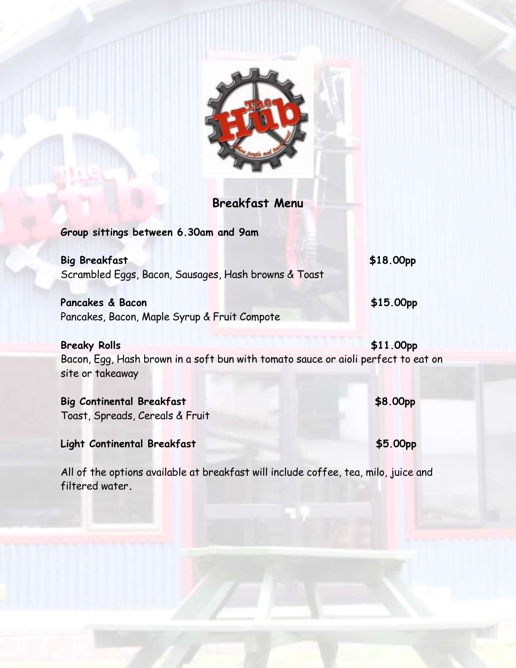

**Breakfast Menu**

**Group sittings between 6.30am and 9am Big Breakfast** \$18.00pp Scrambled Eggs, Bacon, Sausages, Hash browns & Toast **Pancakes & Bacon \$15.00pp** Pancakes, Bacon, Maple Syrup & Fruit Compote **Breaky Rolls** \$11.00pp Bacon, Egg, Hash brown in a soft bun with tomato sauce or aioli perfect to eat on site or takeaway **Big Continental Breakfast \$8.00pp** Toast, Spreads, Cereals & Fruit **Light Continental Breakfast \$5.00pp**

All of the options available at breakfast will include coffee, tea, milo, juice and filtered water**.**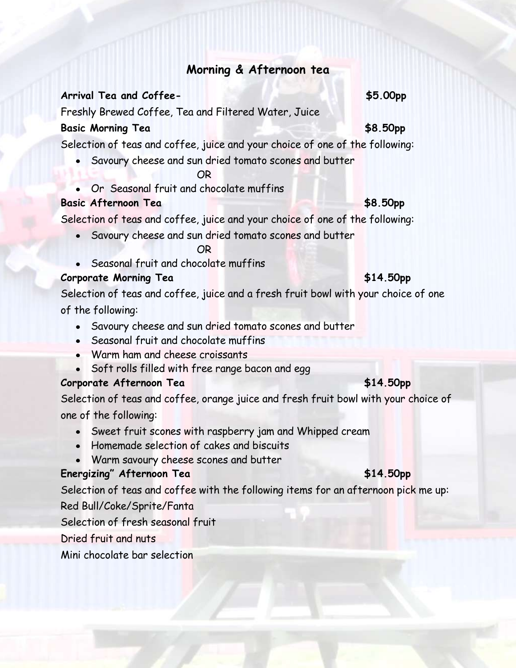# **Morning & Afternoon tea**

## **Arrival Tea and Coffee- \$5.00pp**

Freshly Brewed Coffee, Tea and Filtered Water, Juice

## **Basic Morning Tea \$8.50pp**

Selection of teas and coffee, juice and your choice of one of the following:

Savoury cheese and sun dried tomato scones and butter

## **OR** STREET WAS STREET FOR

Or Seasonal fruit and chocolate muffins

# **Basic Afternoon Tea \$8.50pp**

Selection of teas and coffee, juice and your choice of one of the following:

- Savoury cheese and sun dried tomato scones and butter **OR** STREET STREET AND THE STREET STREET AND THE STREET STREET AND INCOME.
- Seasonal fruit and chocolate muffins

# **Corporate Morning Tea \$14.50pp**

Selection of teas and coffee, juice and a fresh fruit bowl with your choice of one of the following:

- Savoury cheese and sun dried tomato scones and butter
- Seasonal fruit and chocolate muffins
- Warm ham and cheese croissants
- Soft rolls filled with free range bacon and egg

# **Corporate Afternoon Tea \$14.50pp**

Selection of teas and coffee, orange juice and fresh fruit bowl with your choice of one of the following:

- Sweet fruit scones with raspberry jam and Whipped cream
- Homemade selection of cakes and biscuits
- Warm savoury cheese scones and butter

# **Energizing" Afternoon Tea**<br> **Energizing" Afternoon Tea**

Selection of teas and coffee with the following items for an afternoon pick me up: Red Bull/Coke/Sprite/Fanta

Selection of fresh seasonal fruit

Dried fruit and nuts

Mini chocolate bar selection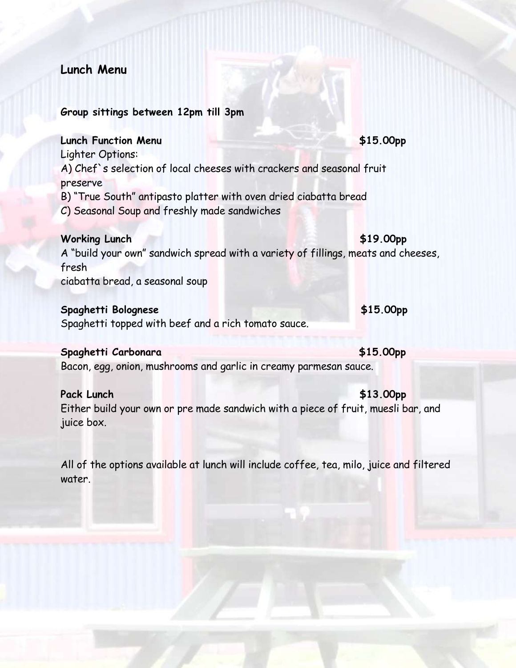# **Lunch Menu**

#### **Group sittings between 12pm till 3pm**

## **Lunch Function Menu \$15.00pp**

Lighter Options:

A) Chef`s selection of local cheeses with crackers and seasonal fruit preserve

B) "True South" antipasto platter with oven dried ciabatta bread

C) Seasonal Soup and freshly made sandwiches

### Working Lunch  $\text{$19.00pp}$

A "build your own" sandwich spread with a variety of fillings, meats and cheeses, fresh ciabatta bread, a seasonal soup

#### **Spaghetti Bolognese \$15.00pp**

Spaghetti topped with beef and a rich tomato sauce.

## **Spaghetti Carbonara \$15.00pp**

Bacon, egg, onion, mushrooms and garlic in creamy parmesan sauce.

### Pack Lunch \$13.00pp

Either build your own or pre made sandwich with a piece of fruit, muesli bar, and juice box.

All of the options available at lunch will include coffee, tea, milo, juice and filtered water.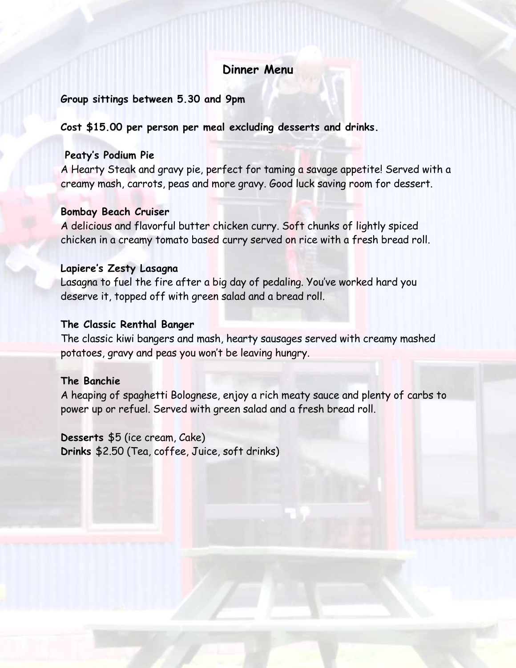# **Dinner Menu**

#### **Group sittings between 5.30 and 9pm**

**Cost \$15.00 per person per meal excluding desserts and drinks.**

#### **Peaty's Podium Pie**

A Hearty Steak and gravy pie, perfect for taming a savage appetite! Served with a creamy mash, carrots, peas and more gravy. Good luck saving room for dessert.

#### **Bombay Beach Cruiser**

A delicious and flavorful butter chicken curry. Soft chunks of lightly spiced chicken in a creamy tomato based curry served on rice with a fresh bread roll.

#### **Lapiere's Zesty Lasagna**

Lasagna to fuel the fire after a big day of pedaling. You've worked hard you deserve it, topped off with green salad and a bread roll.

### **The Classic Renthal Banger**

The classic kiwi bangers and mash, hearty sausages served with creamy mashed potatoes, gravy and peas you won't be leaving hungry.

### **The Banchie**

A heaping of spaghetti Bolognese, enjoy a rich meaty sauce and plenty of carbs to power up or refuel. Served with green salad and a fresh bread roll.

# **Desserts** \$5 (ice cream, Cake)

**Drinks** \$2.50 (Tea, coffee, Juice, soft drinks)